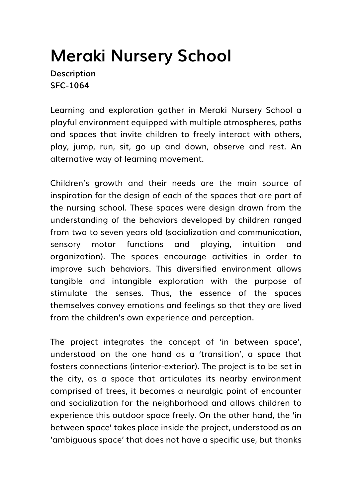## **Meraki Nursery School**

**Description SFC-1064**

Learning and exploration gather in Meraki Nursery School a playful environment equipped with multiple atmospheres, paths and spaces that invite children to freely interact with others, play, jump, run, sit, go up and down, observe and rest. An alternative way of learning movement.

Children's growth and their needs are the main source of inspiration for the design of each of the spaces that are part of the nursing school. These spaces were design drawn from the understanding of the behaviors developed by children ranged from two to seven years old (socialization and communication, sensory motor functions and playing, intuition and organization). The spaces encourage activities in order to improve such behaviors. This diversified environment allows tangible and intangible exploration with the purpose of stimulate the senses. Thus, the essence of the spaces themselves convey emotions and feelings so that they are lived from the children's own experience and perception.

The project integrates the concept of 'in between space', understood on the one hand as a 'transition', a space that fosters connections (interior-exterior). The project is to be set in the city, as a space that articulates its nearby environment comprised of trees, it becomes a neuralgic point of encounter and socialization for the neighborhood and allows children to experience this outdoor space freely. On the other hand, the 'in between space' takes place inside the project, understood as an 'ambiguous space' that does not have a specific use, but thanks